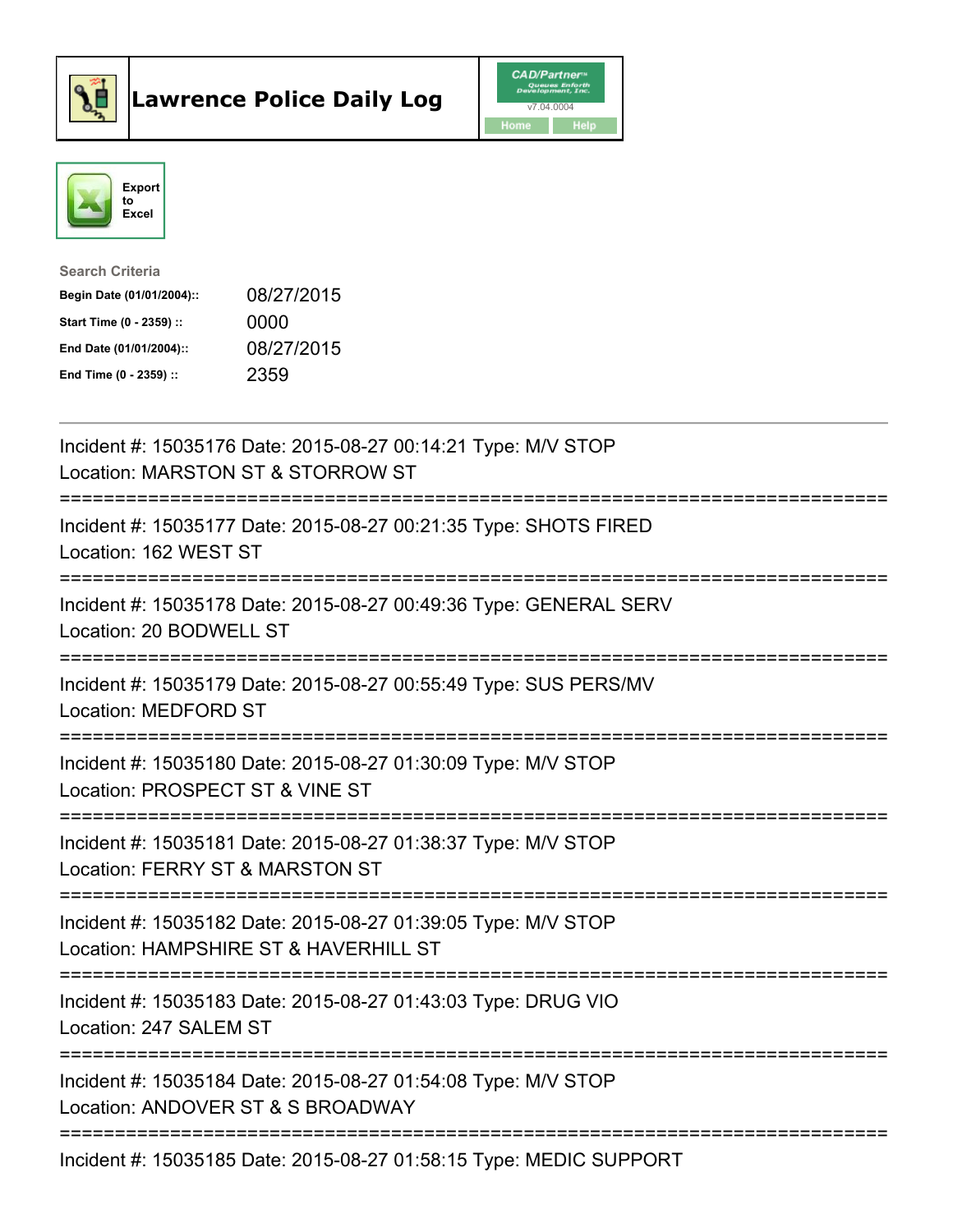



| <b>Search Criteria</b>    |            |
|---------------------------|------------|
| Begin Date (01/01/2004):: | 08/27/2015 |
| Start Time (0 - 2359) ::  | 0000       |
| End Date (01/01/2004)::   | 08/27/2015 |
| End Time $(0 - 2359)$ :   | 2359       |

| Incident #: 15035176 Date: 2015-08-27 00:14:21 Type: M/V STOP<br>Location: MARSTON ST & STORROW ST     |
|--------------------------------------------------------------------------------------------------------|
| Incident #: 15035177 Date: 2015-08-27 00:21:35 Type: SHOTS FIRED<br>Location: 162 WEST ST              |
| Incident #: 15035178 Date: 2015-08-27 00:49:36 Type: GENERAL SERV<br>Location: 20 BODWELL ST           |
| Incident #: 15035179 Date: 2015-08-27 00:55:49 Type: SUS PERS/MV<br>Location: MEDFORD ST               |
| Incident #: 15035180 Date: 2015-08-27 01:30:09 Type: M/V STOP<br>Location: PROSPECT ST & VINE ST       |
| Incident #: 15035181 Date: 2015-08-27 01:38:37 Type: M/V STOP<br>Location: FERRY ST & MARSTON ST       |
| Incident #: 15035182 Date: 2015-08-27 01:39:05 Type: M/V STOP<br>Location: HAMPSHIRE ST & HAVERHILL ST |
| Incident #: 15035183 Date: 2015-08-27 01:43:03 Type: DRUG VIO<br>Location: 247 SALEM ST                |
| Incident #: 15035184 Date: 2015-08-27 01:54:08 Type: M/V STOP<br>Location: ANDOVER ST & S BROADWAY     |
| Incident #: 15035185 Date: 2015-08-27 01:58:15 Type: MEDIC SUPPORT                                     |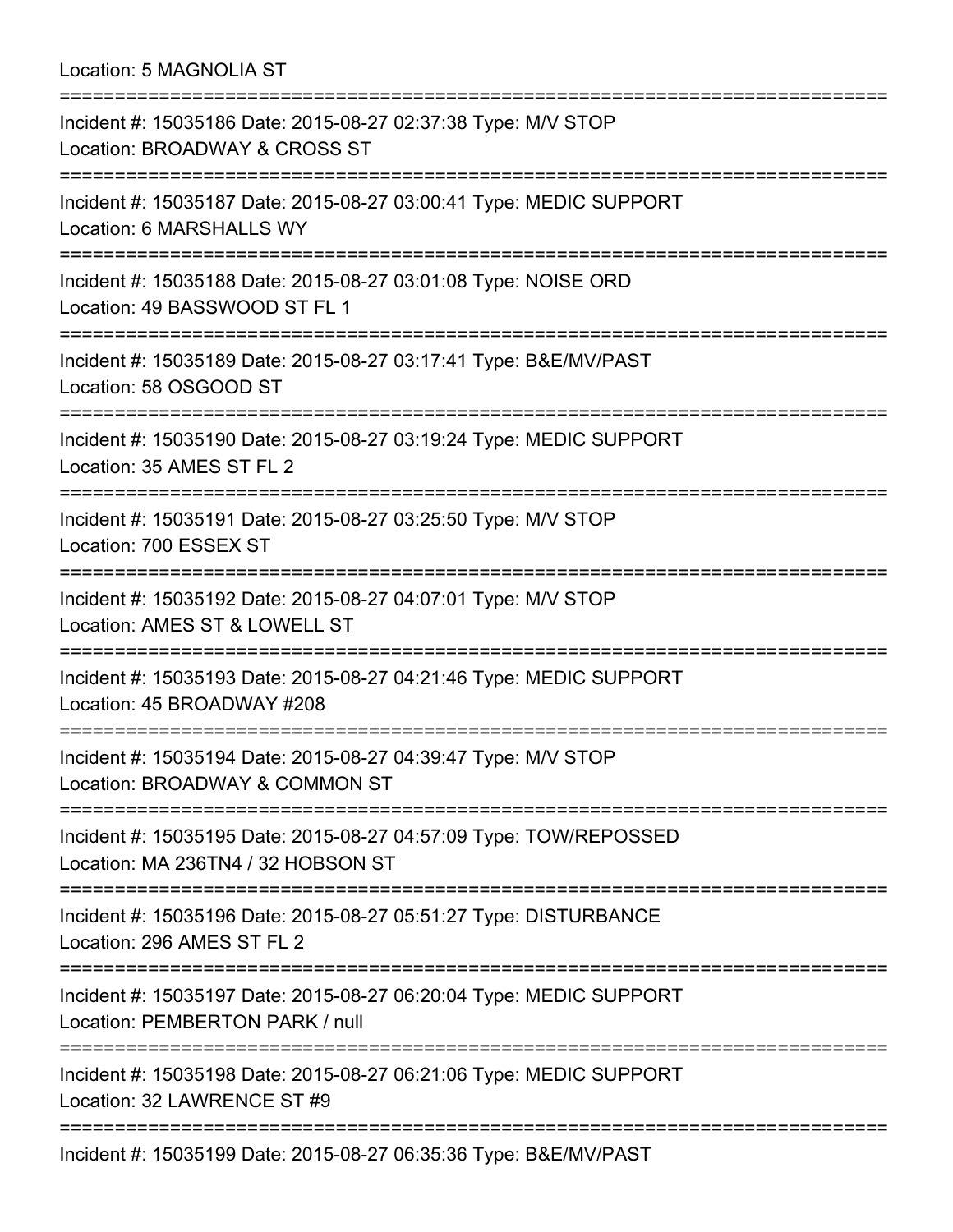Location: 5 MAGNOLIA ST

| ;=========================                                                                              |
|---------------------------------------------------------------------------------------------------------|
| Incident #: 15035186 Date: 2015-08-27 02:37:38 Type: M/V STOP<br>Location: BROADWAY & CROSS ST          |
| Incident #: 15035187 Date: 2015-08-27 03:00:41 Type: MEDIC SUPPORT<br>Location: 6 MARSHALLS WY          |
| Incident #: 15035188 Date: 2015-08-27 03:01:08 Type: NOISE ORD<br>Location: 49 BASSWOOD ST FL 1         |
| Incident #: 15035189 Date: 2015-08-27 03:17:41 Type: B&E/MV/PAST<br>Location: 58 OSGOOD ST              |
| Incident #: 15035190 Date: 2015-08-27 03:19:24 Type: MEDIC SUPPORT<br>Location: 35 AMES ST FL 2         |
| Incident #: 15035191 Date: 2015-08-27 03:25:50 Type: M/V STOP<br>Location: 700 ESSEX ST                 |
| Incident #: 15035192 Date: 2015-08-27 04:07:01 Type: M/V STOP<br>Location: AMES ST & LOWELL ST          |
| Incident #: 15035193 Date: 2015-08-27 04:21:46 Type: MEDIC SUPPORT<br>Location: 45 BROADWAY #208        |
| Incident #: 15035194 Date: 2015-08-27 04:39:47 Type: M/V STOP<br>Location: BROADWAY & COMMON ST         |
| Incident #: 15035195 Date: 2015-08-27 04:57:09 Type: TOW/REPOSSED<br>Location: MA 236TN4 / 32 HOBSON ST |
| Incident #: 15035196 Date: 2015-08-27 05:51:27 Type: DISTURBANCE<br>Location: 296 AMES ST FL 2          |
| Incident #: 15035197 Date: 2015-08-27 06:20:04 Type: MEDIC SUPPORT<br>Location: PEMBERTON PARK / null   |
| Incident #: 15035198 Date: 2015-08-27 06:21:06 Type: MEDIC SUPPORT<br>Location: 32 LAWRENCE ST #9       |
| Incident #: 15035199 Date: 2015-08-27 06:35:36 Type: B&E/MV/PAST                                        |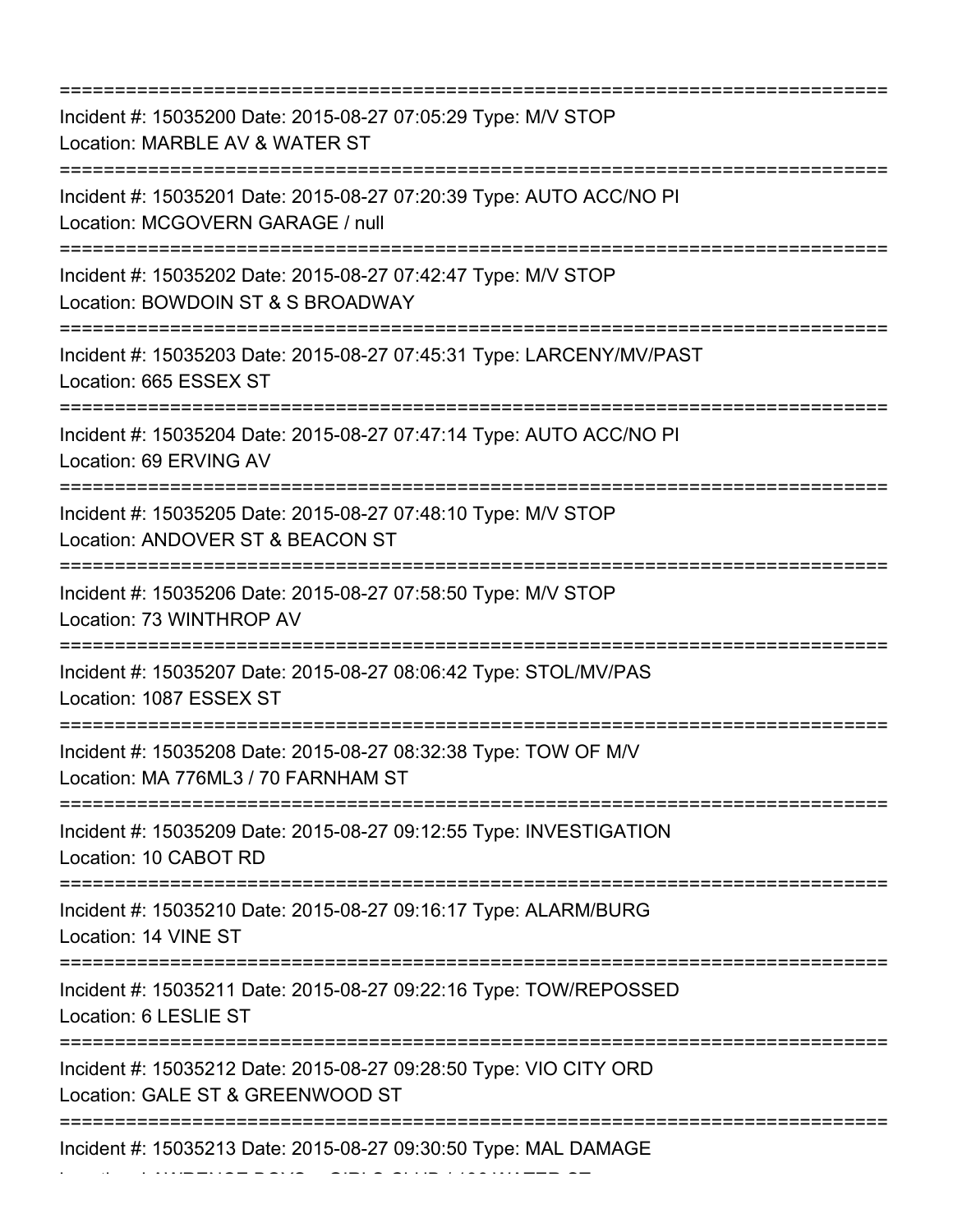=========================================================================== Incident #: 15035200 Date: 2015-08-27 07:05:29 Type: M/V STOP Location: MARBLE AV & WATER ST =========================================================================== Incident #: 15035201 Date: 2015-08-27 07:20:39 Type: AUTO ACC/NO PI Location: MCGOVERN GARAGE / null =========================================================================== Incident #: 15035202 Date: 2015-08-27 07:42:47 Type: M/V STOP Location: BOWDOIN ST & S BROADWAY =========================================================================== Incident #: 15035203 Date: 2015-08-27 07:45:31 Type: LARCENY/MV/PAST Location: 665 ESSEX ST =========================================================================== Incident #: 15035204 Date: 2015-08-27 07:47:14 Type: AUTO ACC/NO PI Location: 69 ERVING AV =========================================================================== Incident #: 15035205 Date: 2015-08-27 07:48:10 Type: M/V STOP Location: ANDOVER ST & BEACON ST =========================================================================== Incident #: 15035206 Date: 2015-08-27 07:58:50 Type: M/V STOP Location: 73 WINTHROP AV =========================================================================== Incident #: 15035207 Date: 2015-08-27 08:06:42 Type: STOL/MV/PAS Location: 1087 ESSEX ST =========================================================================== Incident #: 15035208 Date: 2015-08-27 08:32:38 Type: TOW OF M/V Location: MA 776ML3 / 70 FARNHAM ST =========================================================================== Incident #: 15035209 Date: 2015-08-27 09:12:55 Type: INVESTIGATION Location: 10 CABOT RD =========================================================================== Incident #: 15035210 Date: 2015-08-27 09:16:17 Type: ALARM/BURG Location: 14 VINE ST =========================================================================== Incident #: 15035211 Date: 2015-08-27 09:22:16 Type: TOW/REPOSSED Location: 6 LESLIE ST =========================================================================== Incident #: 15035212 Date: 2015-08-27 09:28:50 Type: VIO CITY ORD Location: GALE ST & GREENWOOD ST =========================================================================== Incident #: 15035213 Date: 2015-08-27 09:30:50 Type: MAL DAMAGE

Location: LAWRENCE BOYS + GIRLS CLUB / 136 WATER ST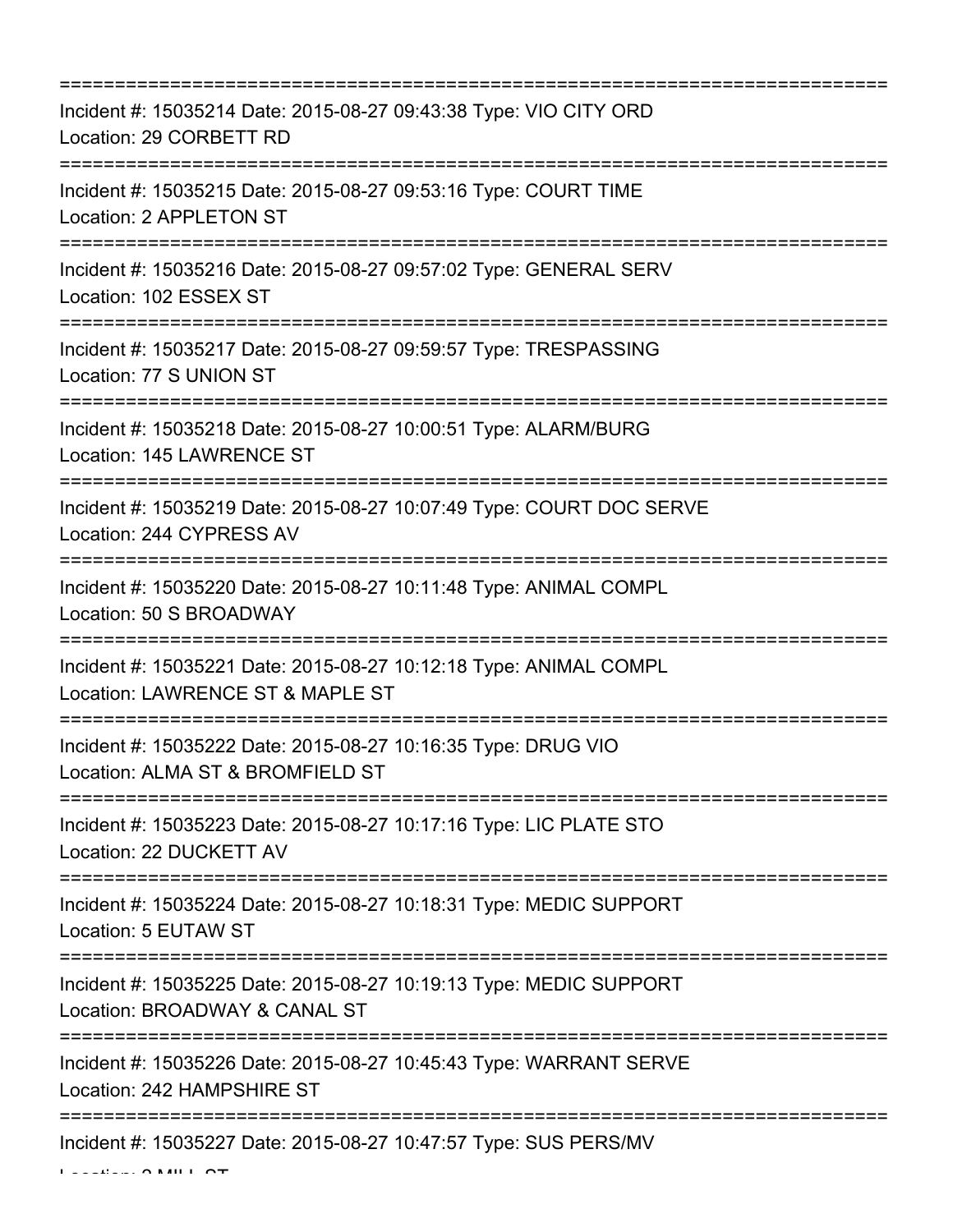| Incident #: 15035214 Date: 2015-08-27 09:43:38 Type: VIO CITY ORD<br>Location: 29 CORBETT RD                                            |
|-----------------------------------------------------------------------------------------------------------------------------------------|
| Incident #: 15035215 Date: 2015-08-27 09:53:16 Type: COURT TIME<br>Location: 2 APPLETON ST                                              |
| Incident #: 15035216 Date: 2015-08-27 09:57:02 Type: GENERAL SERV<br>Location: 102 ESSEX ST                                             |
| Incident #: 15035217 Date: 2015-08-27 09:59:57 Type: TRESPASSING<br>Location: 77 S UNION ST                                             |
| Incident #: 15035218 Date: 2015-08-27 10:00:51 Type: ALARM/BURG<br>Location: 145 LAWRENCE ST                                            |
| Incident #: 15035219 Date: 2015-08-27 10:07:49 Type: COURT DOC SERVE<br>Location: 244 CYPRESS AV                                        |
| Incident #: 15035220 Date: 2015-08-27 10:11:48 Type: ANIMAL COMPL<br>Location: 50 S BROADWAY<br>=======================                 |
| Incident #: 15035221 Date: 2015-08-27 10:12:18 Type: ANIMAL COMPL<br>Location: LAWRENCE ST & MAPLE ST                                   |
| ==================================<br>Incident #: 15035222 Date: 2015-08-27 10:16:35 Type: DRUG VIO<br>Location: ALMA ST & BROMFIELD ST |
| Incident #: 15035223 Date: 2015-08-27 10:17:16 Type: LIC PLATE STO<br>Location: 22 DUCKETT AV                                           |
| Incident #: 15035224 Date: 2015-08-27 10:18:31 Type: MEDIC SUPPORT<br>Location: 5 EUTAW ST                                              |
| Incident #: 15035225 Date: 2015-08-27 10:19:13 Type: MEDIC SUPPORT<br>Location: BROADWAY & CANAL ST                                     |
| Incident #: 15035226 Date: 2015-08-27 10:45:43 Type: WARRANT SERVE<br>Location: 242 HAMPSHIRE ST                                        |
| Incident #: 15035227 Date: 2015-08-27 10:47:57 Type: SUS PERS/MV                                                                        |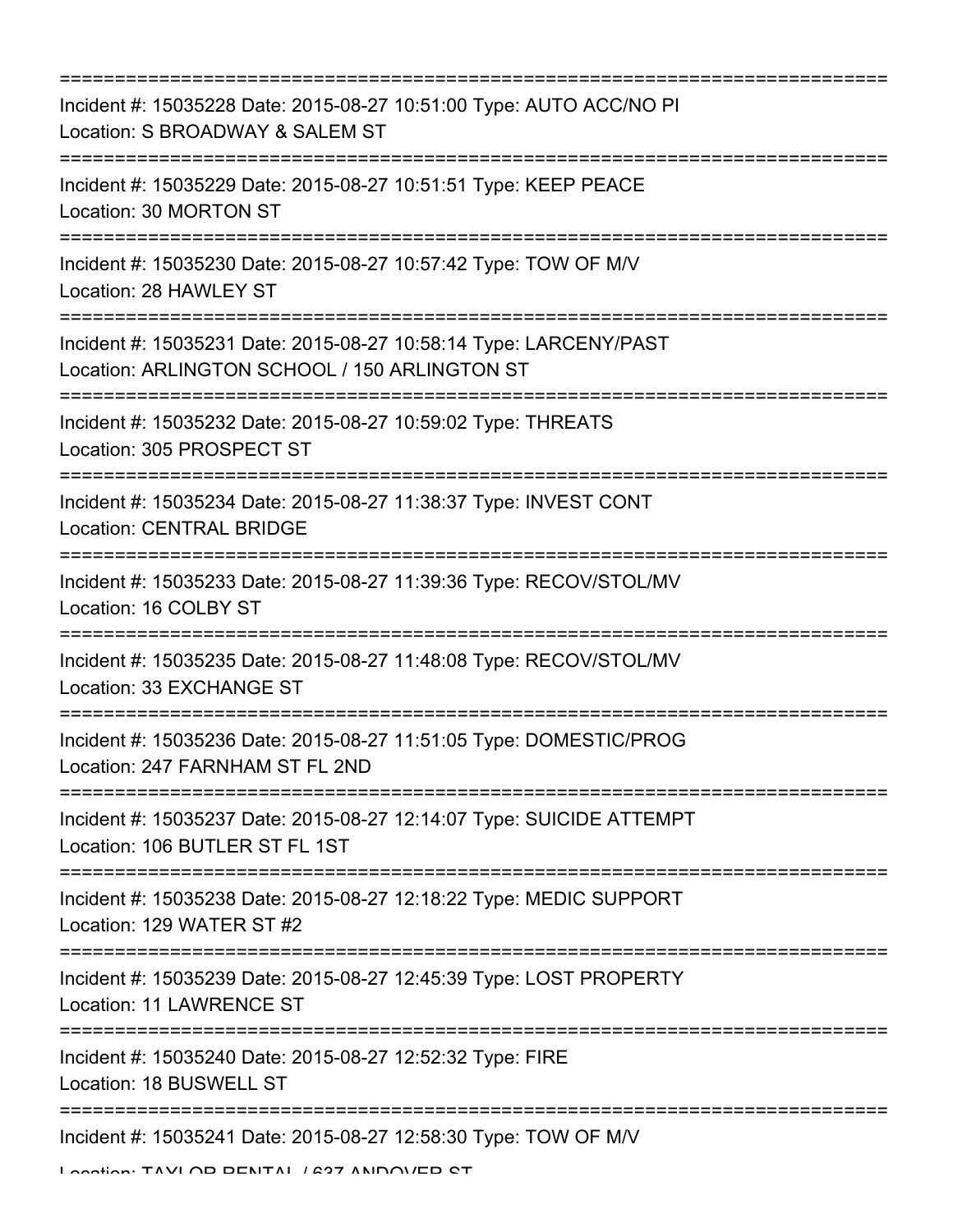| ===============================<br>========================                                                                    |
|--------------------------------------------------------------------------------------------------------------------------------|
| Incident #: 15035228 Date: 2015-08-27 10:51:00 Type: AUTO ACC/NO PI<br>Location: S BROADWAY & SALEM ST                         |
| Incident #: 15035229 Date: 2015-08-27 10:51:51 Type: KEEP PEACE<br>Location: 30 MORTON ST                                      |
| Incident #: 15035230 Date: 2015-08-27 10:57:42 Type: TOW OF M/V<br>Location: 28 HAWLEY ST                                      |
| Incident #: 15035231 Date: 2015-08-27 10:58:14 Type: LARCENY/PAST<br>Location: ARLINGTON SCHOOL / 150 ARLINGTON ST             |
| Incident #: 15035232 Date: 2015-08-27 10:59:02 Type: THREATS<br>Location: 305 PROSPECT ST                                      |
| Incident #: 15035234 Date: 2015-08-27 11:38:37 Type: INVEST CONT<br><b>Location: CENTRAL BRIDGE</b>                            |
| Incident #: 15035233 Date: 2015-08-27 11:39:36 Type: RECOV/STOL/MV<br>Location: 16 COLBY ST<br>------------------------------- |
| Incident #: 15035235 Date: 2015-08-27 11:48:08 Type: RECOV/STOL/MV<br>Location: 33 EXCHANGE ST                                 |
| Incident #: 15035236 Date: 2015-08-27 11:51:05 Type: DOMESTIC/PROG<br>Location: 247 FARNHAM ST FL 2ND                          |
| Incident #: 15035237 Date: 2015-08-27 12:14:07 Type: SUICIDE ATTEMPT<br>Location: 106 BUTLER ST FL 1ST                         |
| Incident #: 15035238 Date: 2015-08-27 12:18:22 Type: MEDIC SUPPORT<br>Location: 129 WATER ST #2                                |
| Incident #: 15035239 Date: 2015-08-27 12:45:39 Type: LOST PROPERTY<br><b>Location: 11 LAWRENCE ST</b>                          |
| Incident #: 15035240 Date: 2015-08-27 12:52:32 Type: FIRE<br>Location: 18 BUSWELL ST                                           |
| Incident #: 15035241 Date: 2015-08-27 12:58:30 Type: TOW OF M/V                                                                |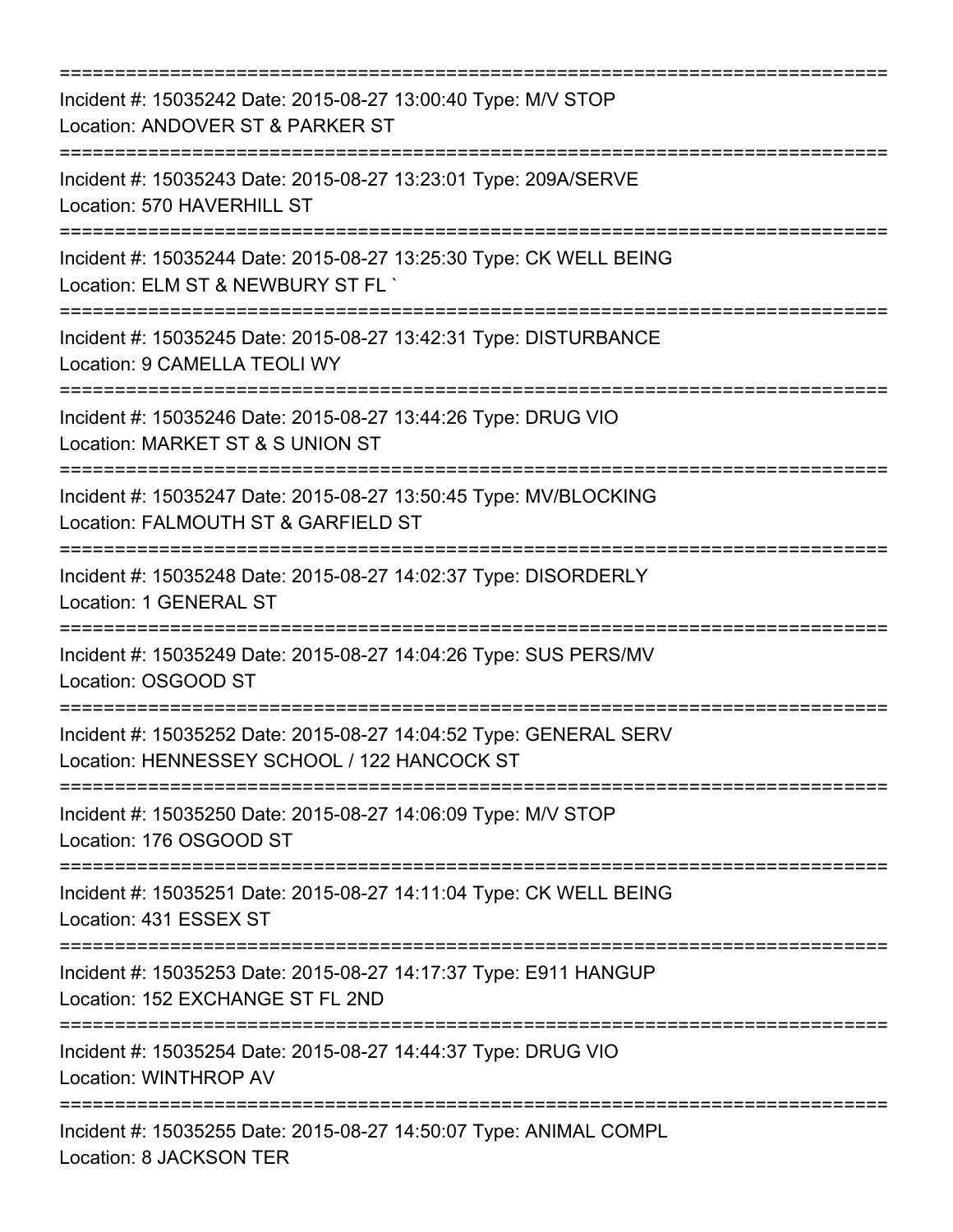| ==============================                                                                                                       |
|--------------------------------------------------------------------------------------------------------------------------------------|
| Incident #: 15035242 Date: 2015-08-27 13:00:40 Type: M/V STOP<br>Location: ANDOVER ST & PARKER ST                                    |
| Incident #: 15035243 Date: 2015-08-27 13:23:01 Type: 209A/SERVE<br>Location: 570 HAVERHILL ST                                        |
| Incident #: 15035244 Date: 2015-08-27 13:25:30 Type: CK WELL BEING<br>Location: ELM ST & NEWBURY ST FL `<br>:=================       |
| Incident #: 15035245 Date: 2015-08-27 13:42:31 Type: DISTURBANCE<br>Location: 9 CAMELLA TEOLI WY                                     |
| Incident #: 15035246 Date: 2015-08-27 13:44:26 Type: DRUG VIO<br>Location: MARKET ST & S UNION ST                                    |
| =========================<br>Incident #: 15035247 Date: 2015-08-27 13:50:45 Type: MV/BLOCKING<br>Location: FALMOUTH ST & GARFIELD ST |
| ;======================<br>Incident #: 15035248 Date: 2015-08-27 14:02:37 Type: DISORDERLY<br>Location: 1 GENERAL ST                 |
| Incident #: 15035249 Date: 2015-08-27 14:04:26 Type: SUS PERS/MV<br>Location: OSGOOD ST                                              |
| Incident #: 15035252 Date: 2015-08-27 14:04:52 Type: GENERAL SERV<br>Location: HENNESSEY SCHOOL / 122 HANCOCK ST                     |
| Incident #: 15035250 Date: 2015-08-27 14:06:09 Type: M/V STOP<br>Location: 176 OSGOOD ST                                             |
| Incident #: 15035251 Date: 2015-08-27 14:11:04 Type: CK WELL BEING<br>Location: 431 ESSEX ST                                         |
| Incident #: 15035253 Date: 2015-08-27 14:17:37 Type: E911 HANGUP<br>Location: 152 EXCHANGE ST FL 2ND                                 |
| =====================================<br>Incident #: 15035254 Date: 2015-08-27 14:44:37 Type: DRUG VIO<br>Location: WINTHROP AV      |
| Incident #: 15035255 Date: 2015-08-27 14:50:07 Type: ANIMAL COMPL<br>Location: 8 JACKSON TER                                         |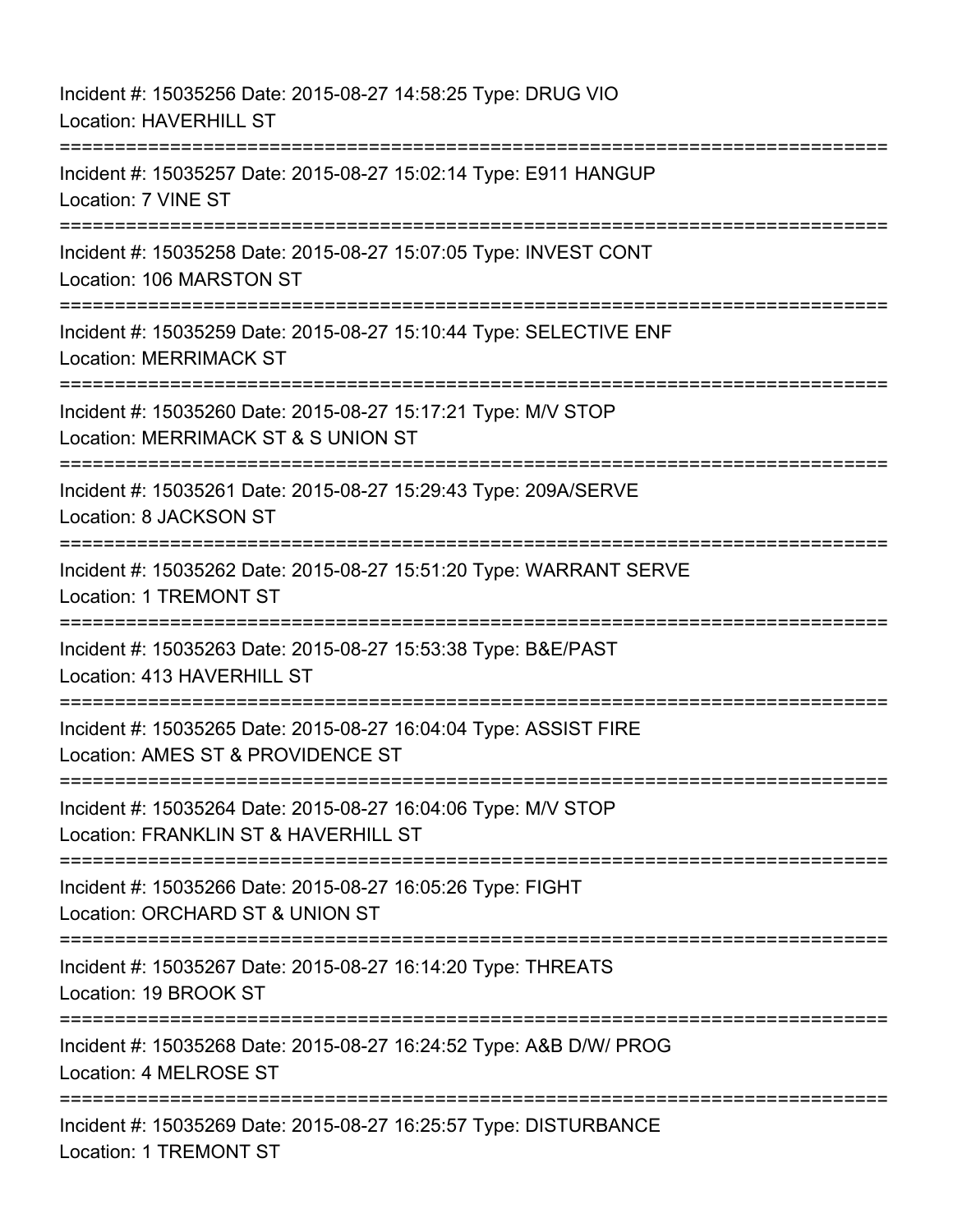Incident #: 15035256 Date: 2015-08-27 14:58:25 Type: DRUG VIO Location: HAVERHILL ST =========================================================================== Incident #: 15035257 Date: 2015-08-27 15:02:14 Type: E911 HANGUP Location: 7 VINE ST =========================================================================== Incident #: 15035258 Date: 2015-08-27 15:07:05 Type: INVEST CONT Location: 106 MARSTON ST =========================================================================== Incident #: 15035259 Date: 2015-08-27 15:10:44 Type: SELECTIVE ENF Location: MERRIMACK ST =========================================================================== Incident #: 15035260 Date: 2015-08-27 15:17:21 Type: M/V STOP Location: MERRIMACK ST & S UNION ST =========================================================================== Incident #: 15035261 Date: 2015-08-27 15:29:43 Type: 209A/SERVE Location: 8 JACKSON ST =========================================================================== Incident #: 15035262 Date: 2015-08-27 15:51:20 Type: WARRANT SERVE Location: 1 TREMONT ST =========================================================================== Incident #: 15035263 Date: 2015-08-27 15:53:38 Type: B&E/PAST Location: 413 HAVERHILL ST =========================================================================== Incident #: 15035265 Date: 2015-08-27 16:04:04 Type: ASSIST FIRE Location: AMES ST & PROVIDENCE ST =========================================================================== Incident #: 15035264 Date: 2015-08-27 16:04:06 Type: M/V STOP Location: FRANKLIN ST & HAVERHILL ST =========================================================================== Incident #: 15035266 Date: 2015-08-27 16:05:26 Type: FIGHT Location: ORCHARD ST & UNION ST =========================================================================== Incident #: 15035267 Date: 2015-08-27 16:14:20 Type: THREATS Location: 19 BROOK ST =========================================================================== Incident #: 15035268 Date: 2015-08-27 16:24:52 Type: A&B D/W/ PROG Location: 4 MELROSE ST =========================================================================== Incident #: 15035269 Date: 2015-08-27 16:25:57 Type: DISTURBANCE Location: 1 TREMONT ST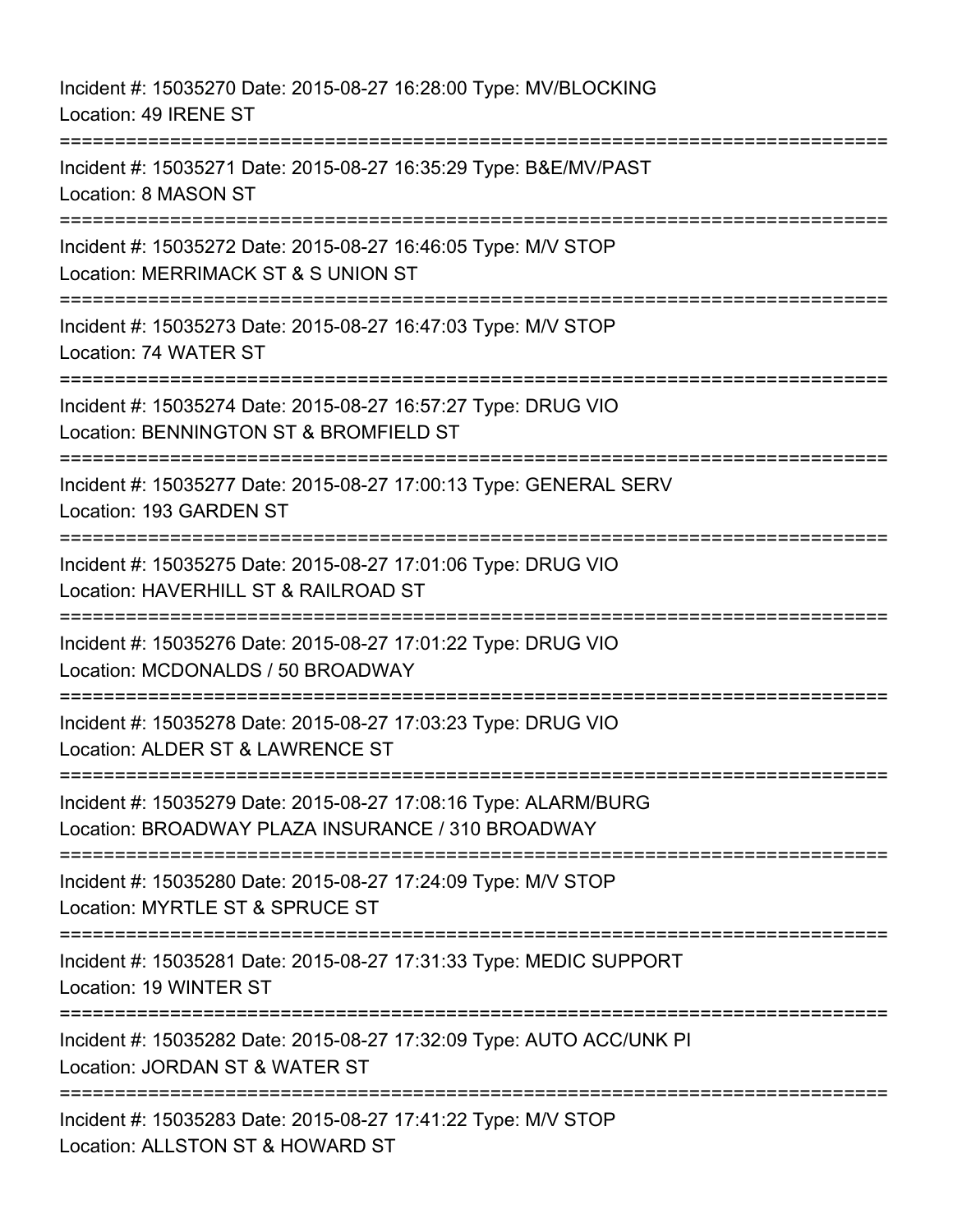Incident #: 15035270 Date: 2015-08-27 16:28:00 Type: MV/BLOCKING Location: 49 IRENE ST =========================================================================== Incident #: 15035271 Date: 2015-08-27 16:35:29 Type: B&E/MV/PAST Location: 8 MASON ST =========================================================================== Incident #: 15035272 Date: 2015-08-27 16:46:05 Type: M/V STOP Location: MERRIMACK ST & S UNION ST =========================================================================== Incident #: 15035273 Date: 2015-08-27 16:47:03 Type: M/V STOP Location: 74 WATER ST =========================================================================== Incident #: 15035274 Date: 2015-08-27 16:57:27 Type: DRUG VIO Location: BENNINGTON ST & BROMFIELD ST =========================================================================== Incident #: 15035277 Date: 2015-08-27 17:00:13 Type: GENERAL SERV Location: 193 GARDEN ST =========================================================================== Incident #: 15035275 Date: 2015-08-27 17:01:06 Type: DRUG VIO Location: HAVERHILL ST & RAILROAD ST =========================================================================== Incident #: 15035276 Date: 2015-08-27 17:01:22 Type: DRUG VIO Location: MCDONALDS / 50 BROADWAY ====================== Incident #: 15035278 Date: 2015-08-27 17:03:23 Type: DRUG VIO Location: ALDER ST & LAWRENCE ST =========================================================================== Incident #: 15035279 Date: 2015-08-27 17:08:16 Type: ALARM/BURG Location: BROADWAY PLAZA INSURANCE / 310 BROADWAY =========================================================================== Incident #: 15035280 Date: 2015-08-27 17:24:09 Type: M/V STOP Location: MYRTLE ST & SPRUCE ST =========================================================================== Incident #: 15035281 Date: 2015-08-27 17:31:33 Type: MEDIC SUPPORT Location: 19 WINTER ST =========================================================================== Incident #: 15035282 Date: 2015-08-27 17:32:09 Type: AUTO ACC/UNK PI Location: JORDAN ST & WATER ST =========================================================================== Incident #: 15035283 Date: 2015-08-27 17:41:22 Type: M/V STOP Location: ALLSTON ST & HOWARD ST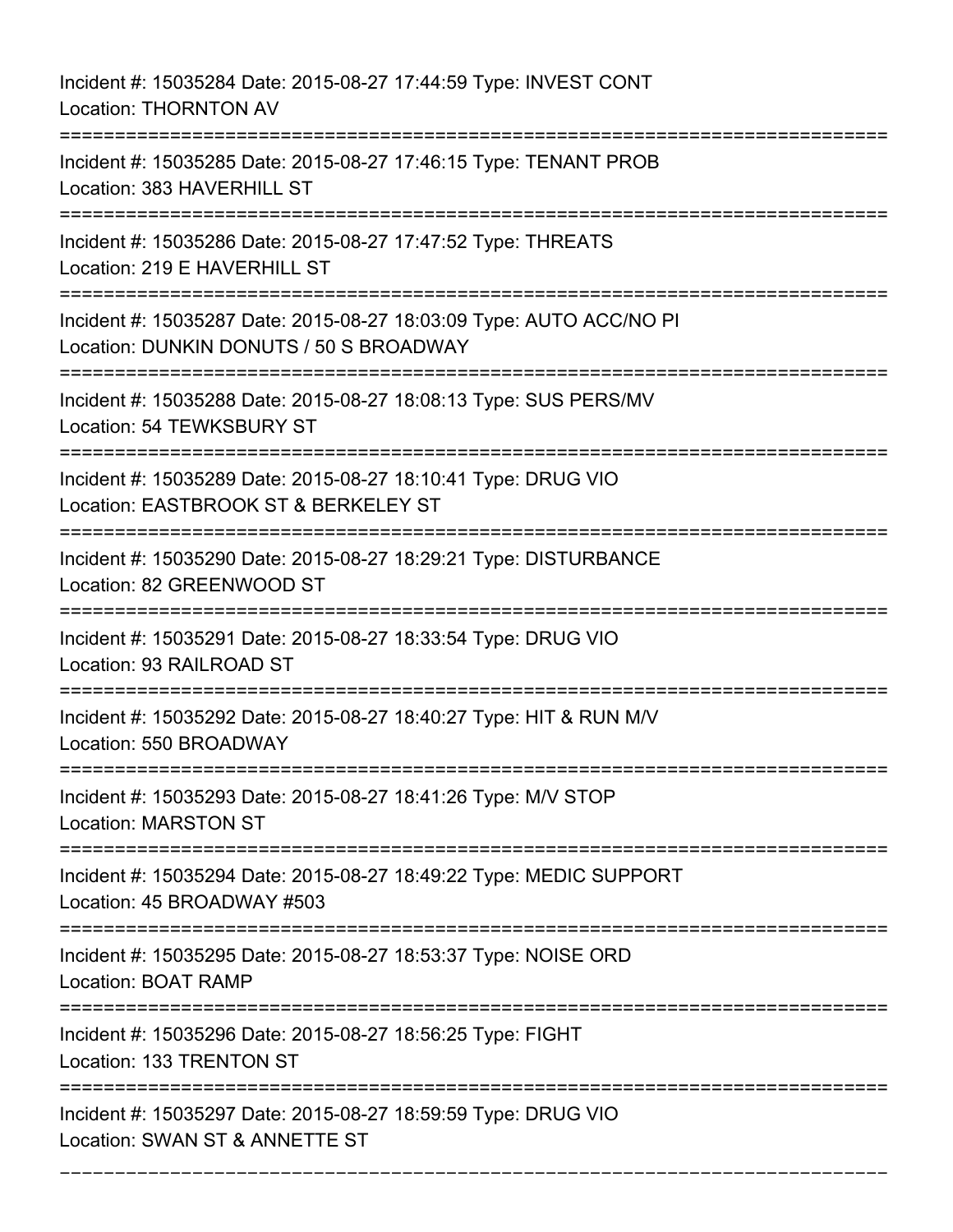Incident #: 15035284 Date: 2015-08-27 17:44:59 Type: INVEST CONT Location: THORNTON AV =========================================================================== Incident #: 15035285 Date: 2015-08-27 17:46:15 Type: TENANT PROB Location: 383 HAVERHILL ST =========================================================================== Incident #: 15035286 Date: 2015-08-27 17:47:52 Type: THREATS Location: 219 E HAVERHILL ST =========================================================================== Incident #: 15035287 Date: 2015-08-27 18:03:09 Type: AUTO ACC/NO PI Location: DUNKIN DONUTS / 50 S BROADWAY =========================================================================== Incident #: 15035288 Date: 2015-08-27 18:08:13 Type: SUS PERS/MV Location: 54 TEWKSBURY ST =========================================================================== Incident #: 15035289 Date: 2015-08-27 18:10:41 Type: DRUG VIO Location: EASTBROOK ST & BERKELEY ST =========================================================================== Incident #: 15035290 Date: 2015-08-27 18:29:21 Type: DISTURBANCE Location: 82 GREENWOOD ST =========================================================================== Incident #: 15035291 Date: 2015-08-27 18:33:54 Type: DRUG VIO Location: 93 RAILROAD ST =========================================================================== Incident #: 15035292 Date: 2015-08-27 18:40:27 Type: HIT & RUN M/V Location: 550 BROADWAY =========================================================================== Incident #: 15035293 Date: 2015-08-27 18:41:26 Type: M/V STOP Location: MARSTON ST =========================================================================== Incident #: 15035294 Date: 2015-08-27 18:49:22 Type: MEDIC SUPPORT Location: 45 BROADWAY #503 =========================================================================== Incident #: 15035295 Date: 2015-08-27 18:53:37 Type: NOISE ORD Location: BOAT RAMP =========================================================================== Incident #: 15035296 Date: 2015-08-27 18:56:25 Type: FIGHT Location: 133 TRENTON ST =========================================================================== Incident #: 15035297 Date: 2015-08-27 18:59:59 Type: DRUG VIO Location: SWAN ST & ANNETTE ST

===========================================================================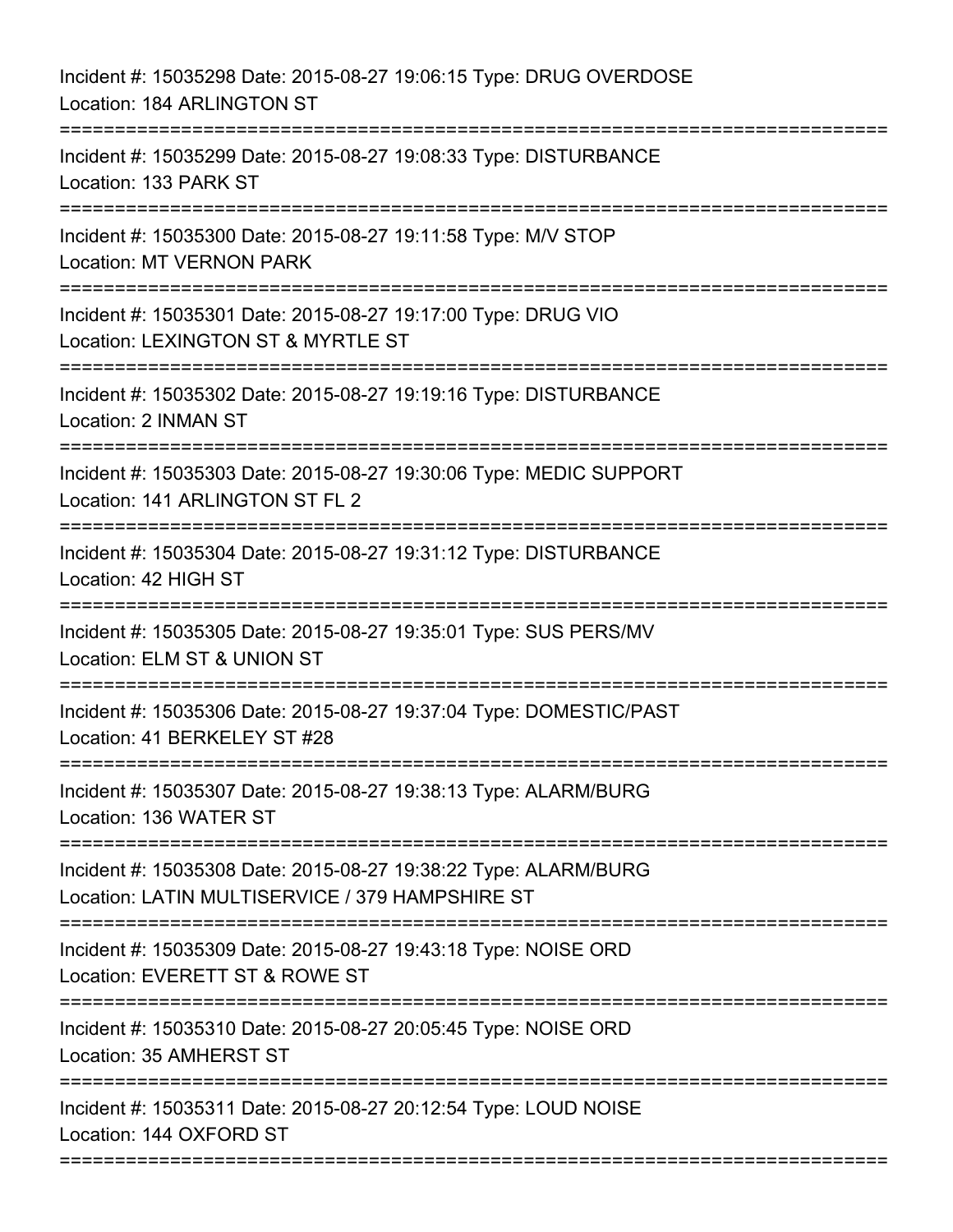| Incident #: 15035298 Date: 2015-08-27 19:06:15 Type: DRUG OVERDOSE<br>Location: 184 ARLINGTON ST                             |
|------------------------------------------------------------------------------------------------------------------------------|
| Incident #: 15035299 Date: 2015-08-27 19:08:33 Type: DISTURBANCE<br>Location: 133 PARK ST                                    |
| Incident #: 15035300 Date: 2015-08-27 19:11:58 Type: M/V STOP<br><b>Location: MT VERNON PARK</b><br>:===================     |
| Incident #: 15035301 Date: 2015-08-27 19:17:00 Type: DRUG VIO<br>Location: LEXINGTON ST & MYRTLE ST<br>===================== |
| Incident #: 15035302 Date: 2015-08-27 19:19:16 Type: DISTURBANCE<br>Location: 2 INMAN ST                                     |
| Incident #: 15035303 Date: 2015-08-27 19:30:06 Type: MEDIC SUPPORT<br>Location: 141 ARLINGTON ST FL 2                        |
| Incident #: 15035304 Date: 2015-08-27 19:31:12 Type: DISTURBANCE<br>Location: 42 HIGH ST<br>==========================       |
| Incident #: 15035305 Date: 2015-08-27 19:35:01 Type: SUS PERS/MV<br>Location: ELM ST & UNION ST                              |
| Incident #: 15035306 Date: 2015-08-27 19:37:04 Type: DOMESTIC/PAST<br>Location: 41 BERKELEY ST #28                           |
| Incident #: 15035307 Date: 2015-08-27 19:38:13 Type: ALARM/BURG<br>Location: 136 WATER ST                                    |
| Incident #: 15035308 Date: 2015-08-27 19:38:22 Type: ALARM/BURG<br>Location: LATIN MULTISERVICE / 379 HAMPSHIRE ST           |
| Incident #: 15035309 Date: 2015-08-27 19:43:18 Type: NOISE ORD<br>Location: EVERETT ST & ROWE ST                             |
| Incident #: 15035310 Date: 2015-08-27 20:05:45 Type: NOISE ORD<br>Location: 35 AMHERST ST                                    |
| Incident #: 15035311 Date: 2015-08-27 20:12:54 Type: LOUD NOISE<br>Location: 144 OXFORD ST                                   |
|                                                                                                                              |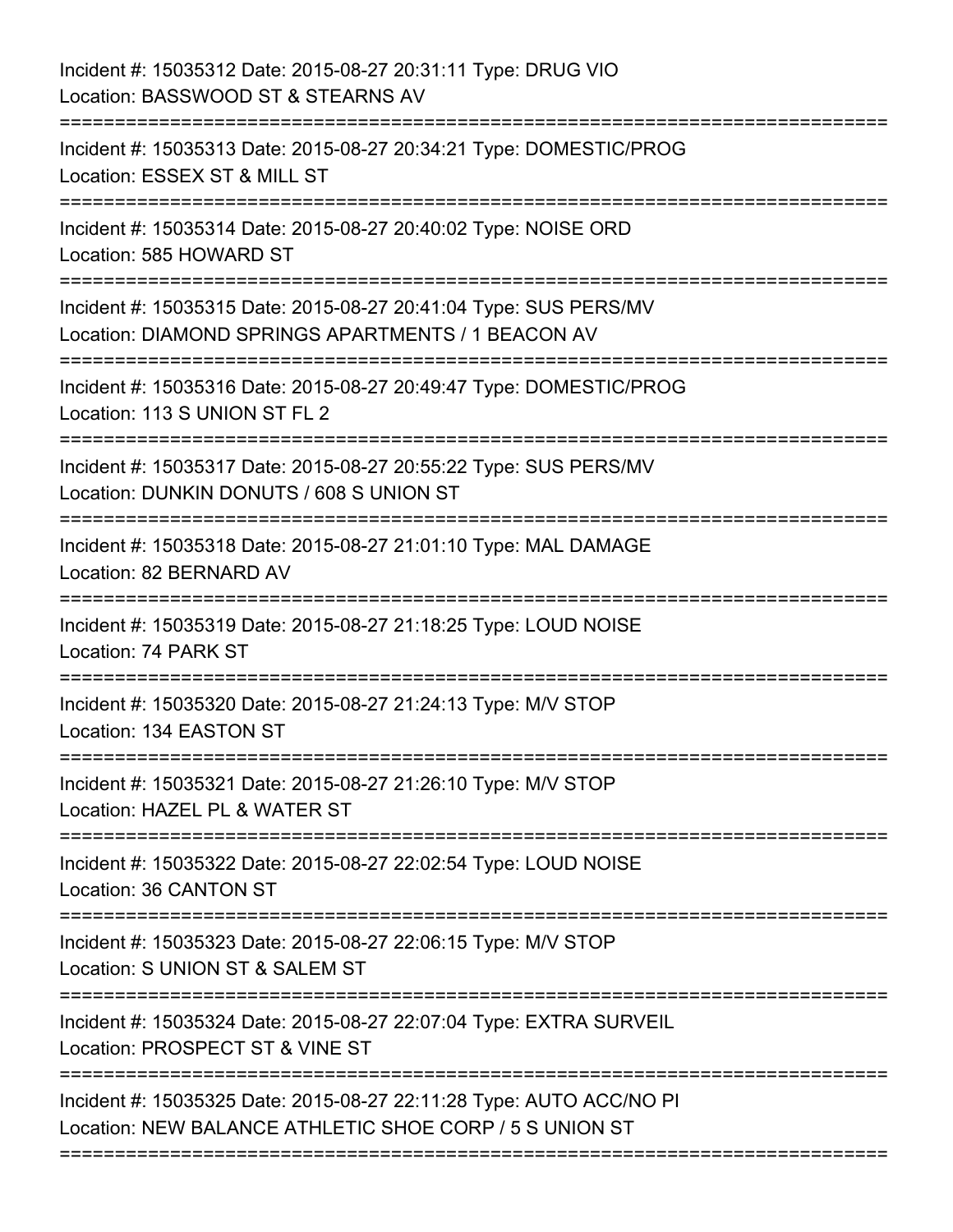| Incident #: 15035312 Date: 2015-08-27 20:31:11 Type: DRUG VIO<br>Location: BASSWOOD ST & STEARNS AV<br>:==============                                                |
|-----------------------------------------------------------------------------------------------------------------------------------------------------------------------|
| Incident #: 15035313 Date: 2015-08-27 20:34:21 Type: DOMESTIC/PROG<br>Location: ESSEX ST & MILL ST                                                                    |
| Incident #: 15035314 Date: 2015-08-27 20:40:02 Type: NOISE ORD<br>Location: 585 HOWARD ST<br>--------------------                                                     |
| Incident #: 15035315 Date: 2015-08-27 20:41:04 Type: SUS PERS/MV<br>Location: DIAMOND SPRINGS APARTMENTS / 1 BEACON AV                                                |
| Incident #: 15035316 Date: 2015-08-27 20:49:47 Type: DOMESTIC/PROG<br>Location: 113 S UNION ST FL 2                                                                   |
| Incident #: 15035317 Date: 2015-08-27 20:55:22 Type: SUS PERS/MV<br>Location: DUNKIN DONUTS / 608 S UNION ST<br>:==============================<br>================== |
| Incident #: 15035318 Date: 2015-08-27 21:01:10 Type: MAL DAMAGE<br>Location: 82 BERNARD AV                                                                            |
| Incident #: 15035319 Date: 2015-08-27 21:18:25 Type: LOUD NOISE<br>Location: 74 PARK ST<br>==================                                                         |
| Incident #: 15035320 Date: 2015-08-27 21:24:13 Type: M/V STOP<br>Location: 134 EASTON ST                                                                              |
| Incident #: 15035321 Date: 2015-08-27 21:26:10 Type: M/V STOP<br>Location: HAZEL PL & WATER ST                                                                        |
| Incident #: 15035322 Date: 2015-08-27 22:02:54 Type: LOUD NOISE<br>Location: 36 CANTON ST                                                                             |
| Incident #: 15035323 Date: 2015-08-27 22:06:15 Type: M/V STOP<br>Location: S UNION ST & SALEM ST                                                                      |
| Incident #: 15035324 Date: 2015-08-27 22:07:04 Type: EXTRA SURVEIL<br>Location: PROSPECT ST & VINE ST                                                                 |
| Incident #: 15035325 Date: 2015-08-27 22:11:28 Type: AUTO ACC/NO PI<br>Location: NEW BALANCE ATHLETIC SHOE CORP / 5 S UNION ST                                        |